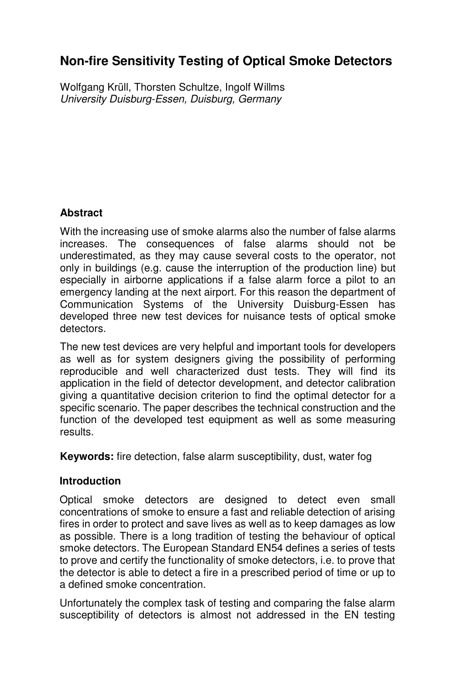# **Non-fire Sensitivity Testing of Optical Smoke Detectors**

Wolfgang Krüll, Thorsten Schultze, Ingolf Willms University Duisburg-Essen, Duisburg, Germany

## **Abstract**

With the increasing use of smoke alarms also the number of false alarms increases. The consequences of false alarms should not be underestimated, as they may cause several costs to the operator, not only in buildings (e.g. cause the interruption of the production line) but especially in airborne applications if a false alarm force a pilot to an emergency landing at the next airport. For this reason the department of Communication Systems of the University Duisburg-Essen has developed three new test devices for nuisance tests of optical smoke detectors.

The new test devices are very helpful and important tools for developers as well as for system designers giving the possibility of performing reproducible and well characterized dust tests. They will find its application in the field of detector development, and detector calibration giving a quantitative decision criterion to find the optimal detector for a specific scenario. The paper describes the technical construction and the function of the developed test equipment as well as some measuring results.

**Keywords:** fire detection, false alarm susceptibility, dust, water fog

## **Introduction**

Optical smoke detectors are designed to detect even small concentrations of smoke to ensure a fast and reliable detection of arising fires in order to protect and save lives as well as to keep damages as low as possible. There is a long tradition of testing the behaviour of optical smoke detectors. The European Standard EN54 defines a series of tests to prove and certify the functionality of smoke detectors, i.e. to prove that the detector is able to detect a fire in a prescribed period of time or up to a defined smoke concentration.

Unfortunately the complex task of testing and comparing the false alarm susceptibility of detectors is almost not addressed in the EN testing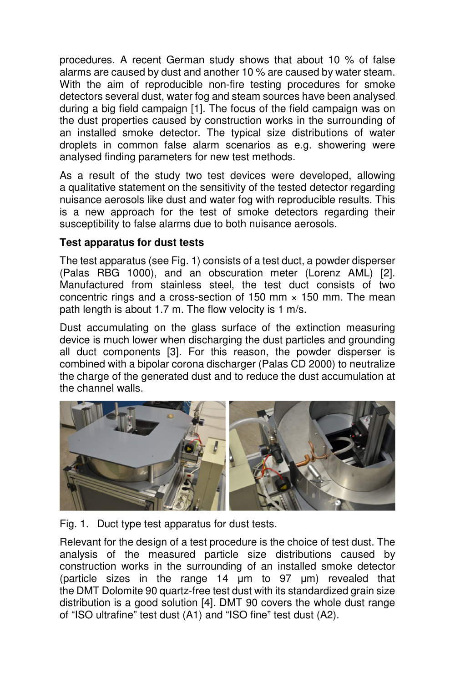procedures. A recent German study shows that about 10 % of false alarms are caused by dust and another 10 % are caused by water steam. With the aim of reproducible non-fire testing procedures for smoke detectors several dust, water fog and steam sources have been analysed during a big field campaign [1]. The focus of the field campaign was on the dust properties caused by construction works in the surrounding of an installed smoke detector. The typical size distributions of water droplets in common false alarm scenarios as e.g. showering were analysed finding parameters for new test methods.

As a result of the study two test devices were developed, allowing a qualitative statement on the sensitivity of the tested detector regarding nuisance aerosols like dust and water fog with reproducible results. This is a new approach for the test of smoke detectors regarding their susceptibility to false alarms due to both nuisance aerosols.

## **Test apparatus for dust tests**

The test apparatus (see Fig. 1) consists of a test duct, a powder disperser (Palas RBG 1000), and an obscuration meter (Lorenz AML) [2]. Manufactured from stainless steel, the test duct consists of two concentric rings and a cross-section of 150 mm  $\times$  150 mm. The mean path length is about 1.7 m. The flow velocity is 1 m/s.

Dust accumulating on the glass surface of the extinction measuring device is much lower when discharging the dust particles and grounding all duct components [3]. For this reason, the powder disperser is combined with a bipolar corona discharger (Palas CD 2000) to neutralize the charge of the generated dust and to reduce the dust accumulation at the channel walls.



Fig. 1. Duct type test apparatus for dust tests.

Relevant for the design of a test procedure is the choice of test dust. The analysis of the measured particle size distributions caused by construction works in the surrounding of an installed smoke detector (particle sizes in the range 14 µm to 97 µm) revealed that the DMT Dolomite 90 quartz-free test dust with its standardized grain size distribution is a good solution [4]. DMT 90 covers the whole dust range of "ISO ultrafine" test dust (A1) and "ISO fine" test dust (A2).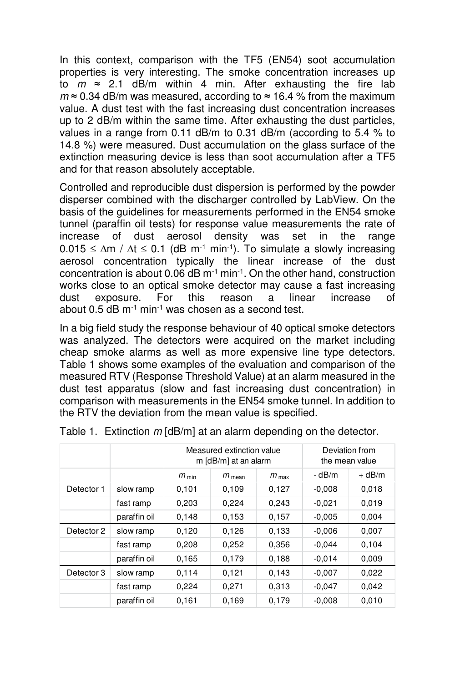In this context, comparison with the TF5 (EN54) soot accumulation properties is very interesting. The smoke concentration increases up to  $m \approx 2.1$  dB/m within 4 min. After exhausting the fire lab  $m \approx 0.34$  dB/m was measured, according to  $\approx 16.4$  % from the maximum value. A dust test with the fast increasing dust concentration increases up to 2 dB/m within the same time. After exhausting the dust particles, values in a range from 0.11 dB/m to 0.31 dB/m (according to 5.4 % to 14.8 %) were measured. Dust accumulation on the glass surface of the extinction measuring device is less than soot accumulation after a TF5 and for that reason absolutely acceptable.

Controlled and reproducible dust dispersion is performed by the powder disperser combined with the discharger controlled by LabView. On the basis of the guidelines for measurements performed in the EN54 smoke tunnel (paraffin oil tests) for response value measurements the rate of increase of dust aerosol density was set in the range  $0.015 \le \Delta m / \Delta t \le 0.1$  (dB m<sup>-1</sup> min<sup>-1</sup>). To simulate a slowly increasing aerosol concentration typically the linear increase of the dust concentration is about  $0.06$  dB  $m<sup>-1</sup>$  min<sup>-1</sup>. On the other hand, construction works close to an optical smoke detector may cause a fast increasing dust exposure. For this reason a linear increase of about  $0.5$  dB m<sup>-1</sup> min<sup>-1</sup> was chosen as a second test.

In a big field study the response behaviour of 40 optical smoke detectors was analyzed. The detectors were acquired on the market including cheap smoke alarms as well as more expensive line type detectors. Table 1 shows some examples of the evaluation and comparison of the measured RTV (Response Threshold Value) at an alarm measured in the dust test apparatus (slow and fast increasing dust concentration) in comparison with measurements in the EN54 smoke tunnel. In addition to the RTV the deviation from the mean value is specified.

|            |              | Measured extinction value<br>m [dB/m] at an alarm |                   |                  | Deviation from<br>the mean value |          |  |
|------------|--------------|---------------------------------------------------|-------------------|------------------|----------------------------------|----------|--|
|            |              | $m_{\min}$                                        | $m_{\text{mean}}$ | $m_{\text{max}}$ | $-dB/m$                          | $+$ dB/m |  |
| Detector 1 | slow ramp    | 0,101                                             | 0,109             | 0,127            | $-0.008$                         | 0,018    |  |
|            | fast ramp    | 0,203                                             | 0.224             | 0,243            | $-0.021$                         | 0,019    |  |
|            | paraffin oil | 0,148                                             | 0.153             | 0,157            | $-0.005$                         | 0,004    |  |
| Detector 2 | slow ramp    | 0,120                                             | 0,126             | 0,133            | $-0.006$                         | 0,007    |  |
|            | fast ramp    | 0,208                                             | 0.252             | 0,356            | $-0.044$                         | 0.104    |  |
|            | paraffin oil | 0.165                                             | 0,179             | 0.188            | $-0.014$                         | 0,009    |  |
| Detector 3 | slow ramp    | 0.114                                             | 0,121             | 0,143            | $-0.007$                         | 0,022    |  |
|            | fast ramp    | 0,224                                             | 0.271             | 0,313            | $-0.047$                         | 0,042    |  |
|            | paraffin oil | 0.161                                             | 0.169             | 0.179            | $-0.008$                         | 0,010    |  |

Table 1. Extinction m [dB/m] at an alarm depending on the detector.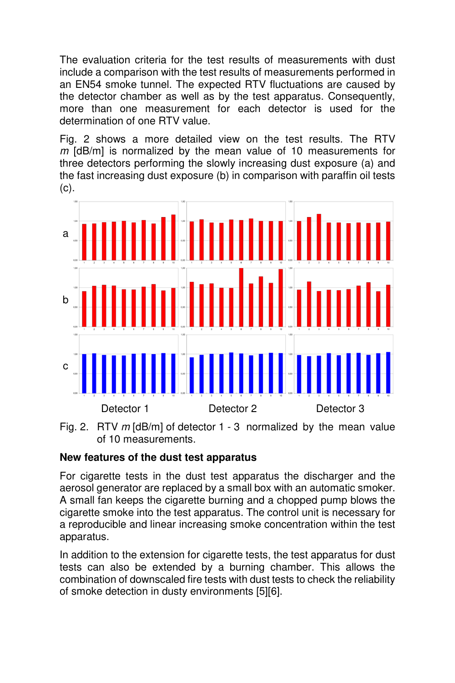The evaluation criteria for the test results of measurements with dust include a comparison with the test results of measurements performed in an EN54 smoke tunnel. The expected RTV fluctuations are caused by the detector chamber as well as by the test apparatus. Consequently, more than one measurement for each detector is used for the determination of one RTV value.

Fig. 2 shows a more detailed view on the test results. The RTV  $m$  [dB/m] is normalized by the mean value of 10 measurements for three detectors performing the slowly increasing dust exposure (a) and the fast increasing dust exposure (b) in comparison with paraffin oil tests (c).



Fig. 2. RTV  $m$  [dB/m] of detector 1 - 3 normalized by the mean value of 10 measurements.

## **New features of the dust test apparatus**

For cigarette tests in the dust test apparatus the discharger and the aerosol generator are replaced by a small box with an automatic smoker. A small fan keeps the cigarette burning and a chopped pump blows the cigarette smoke into the test apparatus. The control unit is necessary for a reproducible and linear increasing smoke concentration within the test apparatus.

In addition to the extension for cigarette tests, the test apparatus for dust tests can also be extended by a burning chamber. This allows the combination of downscaled fire tests with dust tests to check the reliability of smoke detection in dusty environments [5][6].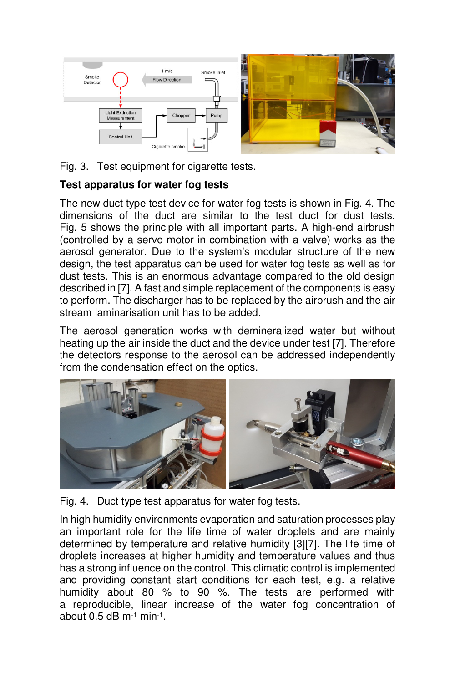

Fig. 3. Test equipment for cigarette tests.

## **Test apparatus for water fog tests**

The new duct type test device for water fog tests is shown in Fig. 4. The dimensions of the duct are similar to the test duct for dust tests. Fig. 5 shows the principle with all important parts. A high-end airbrush (controlled by a servo motor in combination with a valve) works as the aerosol generator. Due to the system's modular structure of the new design, the test apparatus can be used for water fog tests as well as for dust tests. This is an enormous advantage compared to the old design described in [7]. A fast and simple replacement of the components is easy to perform. The discharger has to be replaced by the airbrush and the air stream laminarisation unit has to be added.

The aerosol generation works with demineralized water but without heating up the air inside the duct and the device under test [7]. Therefore the detectors response to the aerosol can be addressed independently from the condensation effect on the optics.



Fig. 4. Duct type test apparatus for water fog tests.

In high humidity environments evaporation and saturation processes play an important role for the life time of water droplets and are mainly determined by temperature and relative humidity [3][7]. The life time of droplets increases at higher humidity and temperature values and thus has a strong influence on the control. This climatic control is implemented and providing constant start conditions for each test, e.g. a relative humidity about 80 % to 90 %. The tests are performed with a reproducible, linear increase of the water fog concentration of about 0.5 dB m $^{-1}$  min $^{-1}$ .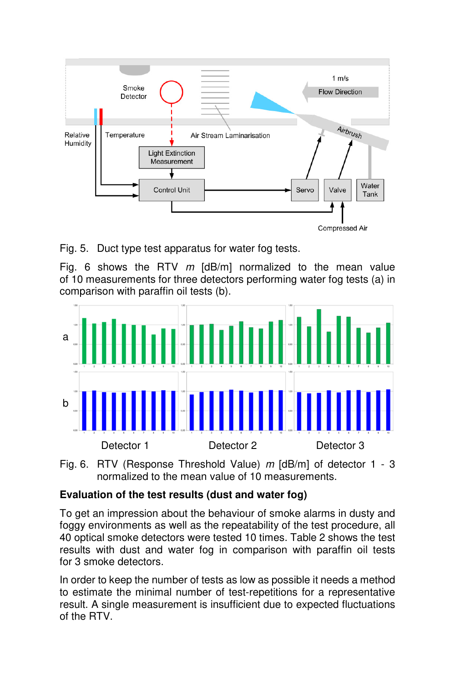

Fig. 5. Duct type test apparatus for water fog tests.

Fig. 6 shows the RTV  $m$  [dB/m] normalized to the mean value of 10 measurements for three detectors performing water fog tests (a) in comparison with paraffin oil tests (b).



Fig. 6. RTV (Response Threshold Value) m [dB/m] of detector 1 - 3 normalized to the mean value of 10 measurements.

## **Evaluation of the test results (dust and water fog)**

To get an impression about the behaviour of smoke alarms in dusty and foggy environments as well as the repeatability of the test procedure, all 40 optical smoke detectors were tested 10 times. Table 2 shows the test results with dust and water fog in comparison with paraffin oil tests for 3 smoke detectors.

In order to keep the number of tests as low as possible it needs a method to estimate the minimal number of test-repetitions for a representative result. A single measurement is insufficient due to expected fluctuations of the RTV.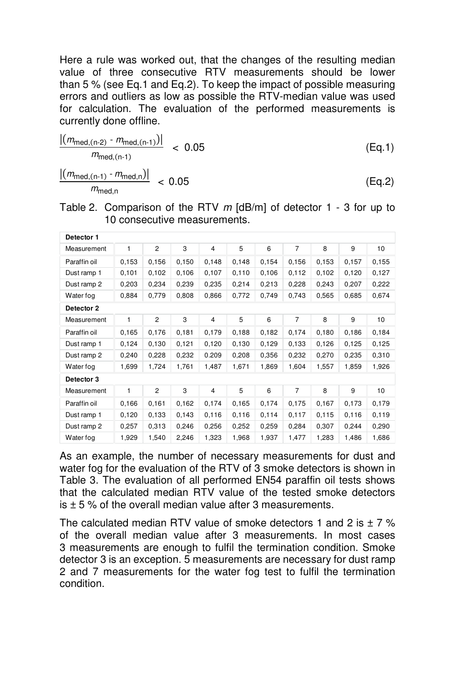Here a rule was worked out, that the changes of the resulting median value of three consecutive RTV measurements should be lower than 5 % (see Eq.1 and Eq.2). To keep the impact of possible measuring errors and outliers as low as possible the RTV-median value was used for calculation. The evaluation of the performed measurements is currently done offline.

$$
\frac{|(m_{\text{med,(n-2)} - m_{\text{med,(n-1)}})}|}{m_{\text{med,(n-1)}}} < 0.05
$$
\n(Eq.1)\n
$$
\frac{|(m_{\text{med,(n-1)} - m_{\text{med,n}})}|}{m_{\text{med,n}}} < 0.05
$$
\n(Eq.2)

| Table 2. Comparison of the RTV $m$ [dB/m] of detector 1 - 3 for up to |  |
|-----------------------------------------------------------------------|--|
| 10 consecutive measurements.                                          |  |

| Detector 1   |       |                |       |                |       |       |                |       |       |       |
|--------------|-------|----------------|-------|----------------|-------|-------|----------------|-------|-------|-------|
| Measurement  | 1     | $\overline{2}$ | 3     | 4              | 5     | 6     | 7              | 8     | 9     | 10    |
| Paraffin oil | 0,153 | 0,156          | 0,150 | 0,148          | 0,148 | 0,154 | 0,156          | 0,153 | 0,157 | 0,155 |
| Dust ramp 1  | 0.101 | 0,102          | 0,106 | 0,107          | 0,110 | 0,106 | 0,112          | 0,102 | 0,120 | 0,127 |
| Dust ramp 2  | 0,203 | 0,234          | 0,239 | 0,235          | 0,214 | 0,213 | 0,228          | 0,243 | 0,207 | 0,222 |
| Water fog    | 0,884 | 0,779          | 0,808 | 0,866          | 0,772 | 0,749 | 0,743          | 0,565 | 0,685 | 0,674 |
| Detector 2   |       |                |       |                |       |       |                |       |       |       |
| Measurement  | 1     | 2              | 3     | $\overline{4}$ | 5     | 6     | $\overline{7}$ | 8     | 9     | 10    |
| Paraffin oil | 0,165 | 0,176          | 0,181 | 0,179          | 0,188 | 0,182 | 0,174          | 0,180 | 0,186 | 0,184 |
| Dust ramp 1  | 0,124 | 0,130          | 0,121 | 0,120          | 0,130 | 0,129 | 0.133          | 0,126 | 0,125 | 0.125 |
| Dust ramp 2  | 0,240 | 0,228          | 0,232 | 0.209          | 0,208 | 0,356 | 0,232          | 0,270 | 0,235 | 0,310 |
| Water fog    | 1,699 | 1,724          | 1,761 | 1,487          | 1,671 | 1,869 | 1,604          | 1,557 | 1,859 | 1,926 |
| Detector 3   |       |                |       |                |       |       |                |       |       |       |
| Measurement  | 1     | $\overline{c}$ | 3     | $\overline{4}$ | 5     | 6     | $\overline{7}$ | 8     | 9     | 10    |
| Paraffin oil | 0,166 | 0,161          | 0,162 | 0,174          | 0,165 | 0,174 | 0,175          | 0,167 | 0,173 | 0,179 |
| Dust ramp 1  | 0,120 | 0,133          | 0,143 | 0,116          | 0,116 | 0,114 | 0,117          | 0,115 | 0,116 | 0,119 |
| Dust ramp 2  | 0,257 | 0,313          | 0,246 | 0,256          | 0,252 | 0,259 | 0,284          | 0,307 | 0,244 | 0,290 |
| Water fog    | 1,929 | 1,540          | 2,246 | 1,323          | 1,968 | 1,937 | 1,477          | 1,283 | 1,486 | 1,686 |

As an example, the number of necessary measurements for dust and water fog for the evaluation of the RTV of 3 smoke detectors is shown in Table 3. The evaluation of all performed EN54 paraffin oil tests shows that the calculated median RTV value of the tested smoke detectors  $is + 5$ % of the overall median value after 3 measurements.

The calculated median RTV value of smoke detectors 1 and 2 is  $\pm$  7 % of the overall median value after 3 measurements. In most cases 3 measurements are enough to fulfil the termination condition. Smoke detector 3 is an exception. 5 measurements are necessary for dust ramp 2 and 7 measurements for the water fog test to fulfil the termination condition.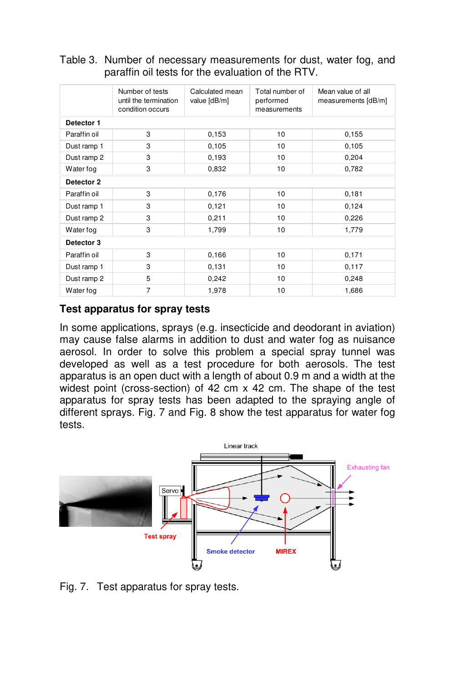|              | Number of tests<br>until the termination<br>condition occurs | Calculated mean<br>value [dB/m] | Total number of<br>performed<br>measurements | Mean value of all<br>measurements [dB/m] |  |  |  |
|--------------|--------------------------------------------------------------|---------------------------------|----------------------------------------------|------------------------------------------|--|--|--|
| Detector 1   |                                                              |                                 |                                              |                                          |  |  |  |
| Paraffin oil | 3                                                            | 0,153                           | 10                                           | 0,155                                    |  |  |  |
| Dust ramp 1  | 3                                                            | 0,105                           | 10                                           | 0,105                                    |  |  |  |
| Dust ramp 2  | 3                                                            | 0,193                           | 10                                           | 0,204                                    |  |  |  |
| Water fog    | 3                                                            | 0,832                           | 10                                           | 0,782                                    |  |  |  |
| Detector 2   |                                                              |                                 |                                              |                                          |  |  |  |
| Paraffin oil | 3                                                            | 0,176                           | 10                                           | 0,181                                    |  |  |  |
| Dust ramp 1  | 3                                                            | 0,121                           | 10                                           | 0,124                                    |  |  |  |
| Dust ramp 2  | 3                                                            | 0,211                           | 10                                           | 0,226                                    |  |  |  |
| Water fog    | 3                                                            | 1,799                           | 10                                           | 1,779                                    |  |  |  |
| Detector 3   |                                                              |                                 |                                              |                                          |  |  |  |
| Paraffin oil | 3                                                            | 0,166                           | 10                                           | 0.171                                    |  |  |  |
| Dust ramp 1  | 3                                                            | 0,131                           | 10                                           | 0.117                                    |  |  |  |
| Dust ramp 2  | 5                                                            | 0,242                           | 10                                           | 0,248                                    |  |  |  |
| Water fog    | $\overline{7}$                                               | 1,978                           | 10                                           | 1,686                                    |  |  |  |

Table 3. Number of necessary measurements for dust, water fog, and paraffin oil tests for the evaluation of the RTV.

## **Test apparatus for spray tests**

In some applications, sprays (e.g. insecticide and deodorant in aviation) may cause false alarms in addition to dust and water fog as nuisance aerosol. In order to solve this problem a special spray tunnel was developed as well as a test procedure for both aerosols. The test apparatus is an open duct with a length of about 0.9 m and a width at the widest point (cross-section) of 42 cm x 42 cm. The shape of the test apparatus for spray tests has been adapted to the spraying angle of different sprays. Fig. 7 and Fig. 8 show the test apparatus for water fog tests.



Fig. 7. Test apparatus for spray tests.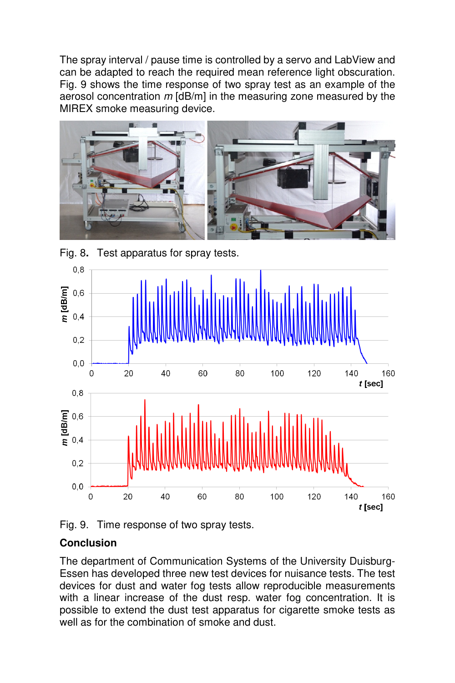The spray interval / pause time is controlled by a servo and LabView and can be adapted to reach the required mean reference light obscuration. Fig. 9 shows the time response of two spray test as an example of the aerosol concentration  $m$  [dB/m] in the measuring zone measured by the MIREX smoke measuring device.





Fig. 8**.** Test apparatus for spray tests.

Fig. 9. Time response of two spray tests.

## **Conclusion**

The department of Communication Systems of the University Duisburg-Essen has developed three new test devices for nuisance tests. The test devices for dust and water fog tests allow reproducible measurements with a linear increase of the dust resp. water fog concentration. It is possible to extend the dust test apparatus for cigarette smoke tests as well as for the combination of smoke and dust.